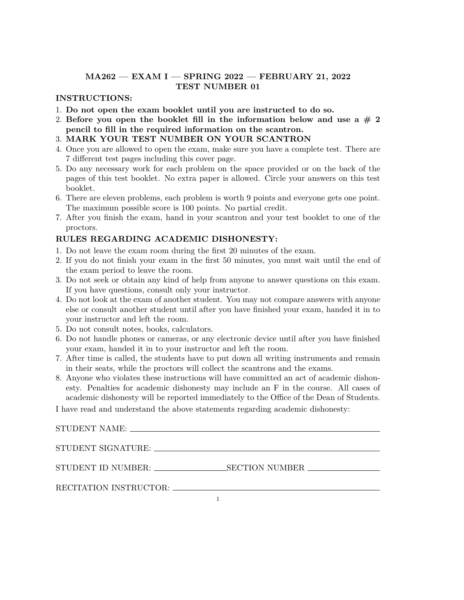## **MA262 — EXAM I — SPRING 2022 — FEBRUARY 21, 2022 TEST NUMBER 01**

## **INSTRUCTIONS:**

- 1. **Do not open the exam booklet until you are instructed to do so.**
- 2. Before you open the booklet fill in the information below and use a  $# 2$ **pencil to fill in the required information on the scantron.**
- 3. **MARK YOUR TEST NUMBER ON YOUR SCANTRON**
- 4. Once you are allowed to open the exam, make sure you have a complete test. There are 7 different test pages including this cover page.
- 5. Do any necessary work for each problem on the space provided or on the back of the pages of this test booklet. No extra paper is allowed. Circle your answers on this test booklet.
- 6. There are eleven problems, each problem is worth 9 points and everyone gets one point. The maximum possible score is 100 points. No partial credit.
- 7. After you finish the exam, hand in your scantron and your test booklet to one of the proctors.

## **RULES REGARDING ACADEMIC DISHONESTY:**

- 1. Do not leave the exam room during the first 20 minutes of the exam.
- 2. If you do not finish your exam in the first 50 minutes, you must wait until the end of the exam period to leave the room.
- 3. Do not seek or obtain any kind of help from anyone to answer questions on this exam. If you have questions, consult only your instructor.
- 4. Do not look at the exam of another student. You may not compare answers with anyone else or consult another student until after you have finished your exam, handed it in to your instructor and left the room.
- 5. Do not consult notes, books, calculators.
- 6. Do not handle phones or cameras, or any electronic device until after you have finished your exam, handed it in to your instructor and left the room.
- 7. After time is called, the students have to put down all writing instruments and remain in their seats, while the proctors will collect the scantrons and the exams.
- 8. Anyone who violates these instructions will have committed an act of academic dishonesty. Penalties for academic dishonesty may include an F in the course. All cases of academic dishonesty will be reported immediately to the Office of the Dean of Students.

I have read and understand the above statements regarding academic dishonesty:

STUDENT SIGNATURE:

STUDENT ID NUMBER: SECTION NUMBER

RECITATION INSTRUCTOR: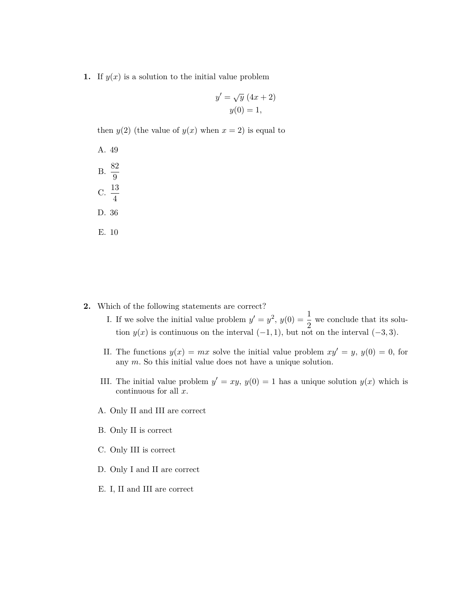**1.** If  $y(x)$  is a solution to the initial value problem

$$
y' = \sqrt{y} (4x + 2)
$$

$$
y(0) = 1,
$$

then  $y(2)$  (the value of  $y(x)$  when  $x = 2$ ) is equal to

A. 49 B.  $\frac{82}{9}$ C.  $\frac{13}{4}$ D. 36 E. 10

- **2.** Which of the following statements are correct?
	- I. If we solve the initial value problem  $y' = y^2$ ,  $y(0) = \frac{1}{2}$  we conclude that its solution  $y(x)$  is continuous on the interval  $(-1, 1)$ *,* but not on the interval  $(-3, 3)$ *.*
	- II. The functions  $y(x) = mx$  solve the initial value problem  $xy' = y$ ,  $y(0) = 0$ , for any *m.* So this initial value does not have a unique solution.
	- III. The initial value problem  $y' = xy$ ,  $y(0) = 1$  has a unique solution  $y(x)$  which is continuous for all *x*.
	- A. Only II and III are correct
	- B. Only II is correct
	- C. Only III is correct
	- D. Only I and II are correct
	- E. I, II and III are correct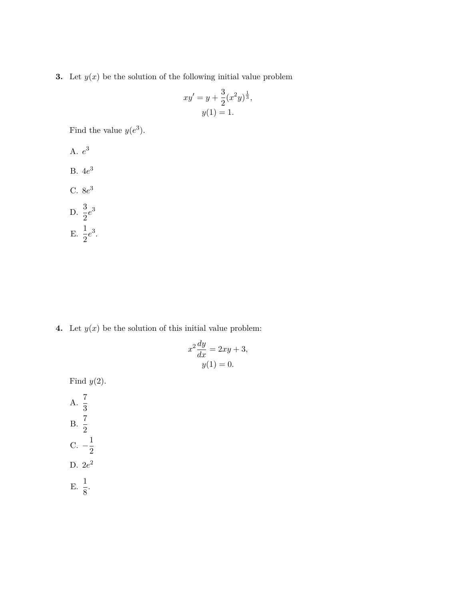**3.** Let  $y(x)$  be the solution of the following initial value problem

$$
xy' = y + \frac{3}{2}(x^2y)^{\frac{1}{3}},
$$
  

$$
y(1) = 1.
$$

Find the value  $y(e^3)$ .

A. 
$$
e^3
$$
  
B.  $4e^3$   
C.  $8e^3$   
D.  $\frac{3}{2}e^3$   
E.  $\frac{1}{2}e^3$ .

**4.** Let  $y(x)$  be the solution of this initial value problem:

$$
x^{2} \frac{dy}{dx} = 2xy + 3,
$$
  

$$
y(1) = 0.
$$

Find *y*(2).

A.  $\frac{7}{3}$  $B. \ \frac{7}{2}$ C.  $-\frac{1}{2}$ 2 D.  $2e^2$ E.  $\frac{1}{8}$ .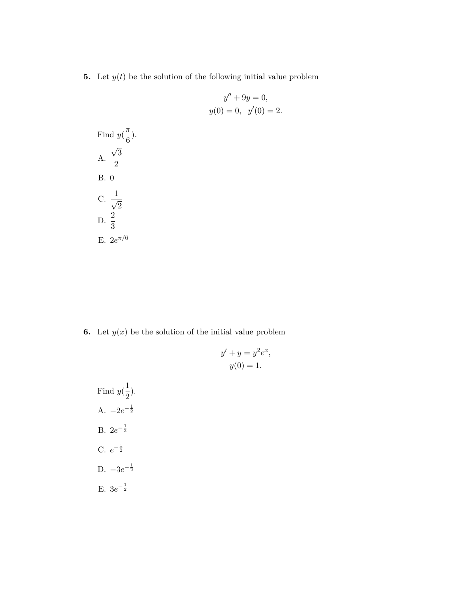**5.** Let  $y(t)$  be the solution of the following initial value problem

$$
y'' + 9y = 0,
$$
  

$$
y(0) = 0, \quad y'(0) = 2.
$$

Find 
$$
y(\frac{\pi}{6})
$$
.  
\nA.  $\frac{\sqrt{3}}{2}$   
\nB. 0  
\nC.  $\frac{1}{\sqrt{2}}$   
\nD.  $\frac{2}{3}$   
\nE.  $2e^{\pi/6}$ 

**6.** Let  $y(x)$  be the solution of the initial value problem

$$
y' + y = y2 ex,
$$
  

$$
y(0) = 1.
$$

Find  $y(\frac{1}{2})$  $\frac{1}{2}$ ). A.  $−2e^{-\frac{1}{2}}$ B.  $2e^{-\frac{1}{2}}$  $C. e^{-\frac{1}{2}}$ D.  $-3e^{-\frac{1}{2}}$ E.  $3e^{-\frac{1}{2}}$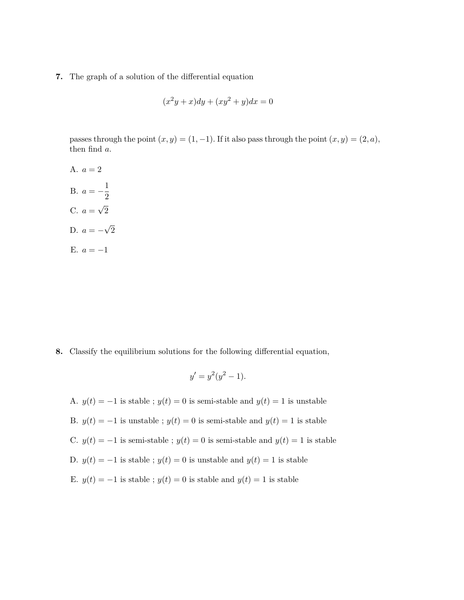**7.** The graph of a solution of the differential equation

$$
(x2y + x)dy + (xy2 + y)dx = 0
$$

passes through the point  $(x, y) = (1, -1)$ . If it also pass through the point  $(x, y) = (2, a)$ , then find *a*.

A.  $a = 2$ B.  $a = -\frac{1}{2}$ 2 C.  $a = \sqrt{2}$ D.  $a = -\sqrt{2}$ E. *a* = *−*1

**8.** Classify the equilibrium solutions for the following differential equation,

$$
y' = y^2(y^2 - 1).
$$

A.  $y(t) = -1$  is stable ;  $y(t) = 0$  is semi-stable and  $y(t) = 1$  is unstable B.  $y(t) = -1$  is unstable ;  $y(t) = 0$  is semi-stable and  $y(t) = 1$  is stable C.  $y(t) = −1$  is semi-stable ;  $y(t) = 0$  is semi-stable and  $y(t) = 1$  is stable D.  $y(t) = −1$  is stable ;  $y(t) = 0$  is unstable and  $y(t) = 1$  is stable E. *y*(*t*) = *−*1 is stable ; *y*(*t*) = 0 is stable and *y*(*t*) = 1 is stable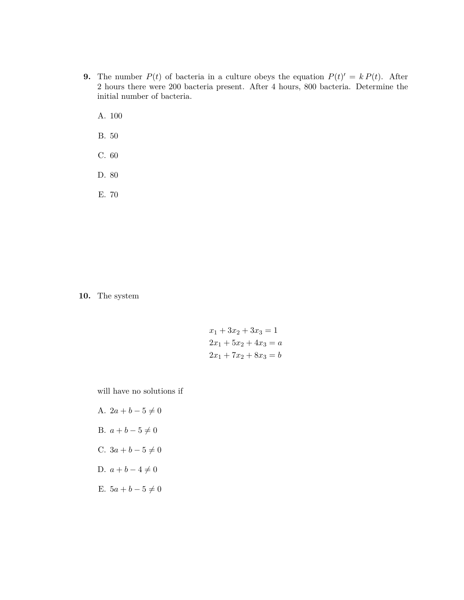- **9.** The number  $P(t)$  of bacteria in a culture obeys the equation  $P(t)' = k P(t)$ . After 2 hours there were 200 bacteria present. After 4 hours, 800 bacteria. Determine the initial number of bacteria.
	- A. 100
	- B. 50
	- C. 60
	- D. 80
	- E. 70

**10.** The system

$$
x_1 + 3x_2 + 3x_3 = 1
$$
  

$$
2x_1 + 5x_2 + 4x_3 = a
$$
  

$$
2x_1 + 7x_2 + 8x_3 = b
$$

will have no solutions if

A.  $2a + b - 5 \neq 0$ B.  $a + b - 5 \neq 0$ C.  $3a + b - 5 \neq 0$ D.  $a + b - 4 \neq 0$ E.  $5a + b - 5 \neq 0$